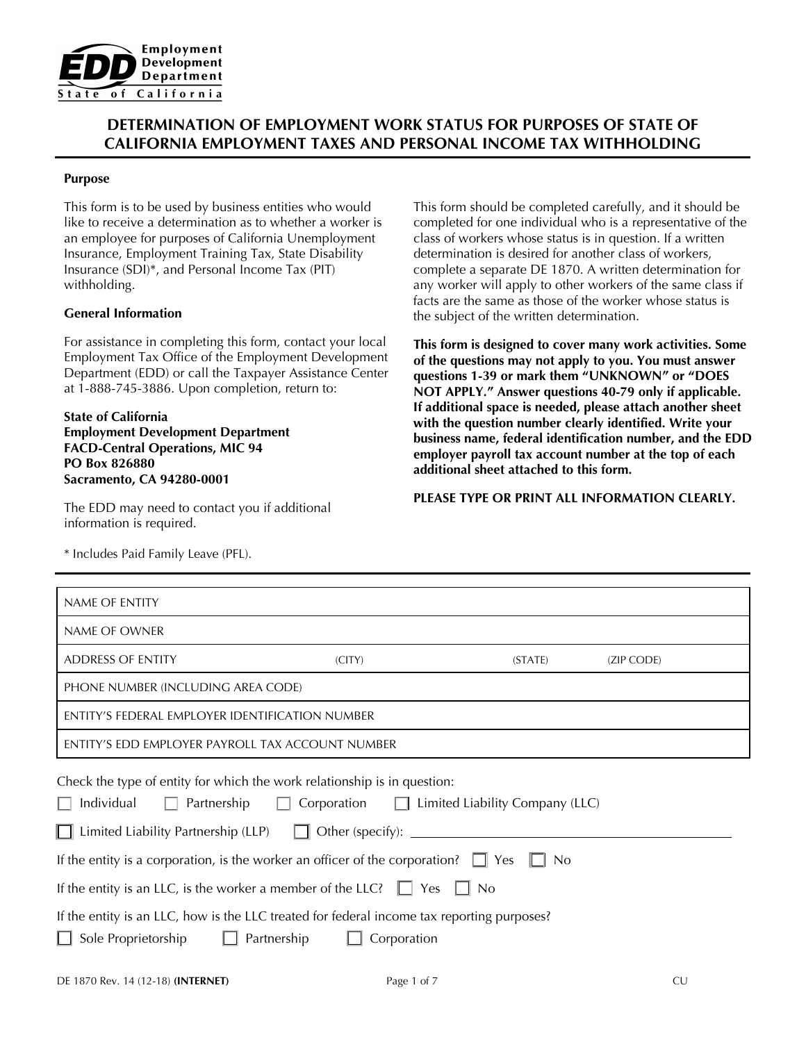

# **DETERMINATION OF EMPLOYMENT WORK STATUS FOR PURPOSES OF STATE OF CALIFORNIA EMPLOYMENT TAXES AND PERSONAL INCOME TAX WITHHOLDING**

#### **Purpose**

This form is to be used by business entities who would like to receive a determination as to whether a worker is an employee for purposes of California Unemployment Insurance, Employment Training Tax, State Disability Insurance (SDI)\*, and Personal Income Tax (PIT) withholding.

### **General Information**

For assistance in completing this form, contact your local Employment Tax Office of the Employment Development Department (EDD) or call the Taxpayer Assistance Center at 1-888-745-3886. Upon completion, return to:

**State of California Employment Development Department FACD-Central Operations, MIC 94 PO Box 826880 Sacramento, CA 94280-0001**

The EDD may need to contact you if additional information is required.

\* Includes Paid Family Leave (PFL).

This form should be completed carefully, and it should be completed for one individual who is a representative of the class of workers whose status is in question. If a written determination is desired for another class of workers, complete a separate DE 1870. A written determination for any worker will apply to other workers of the same class if facts are the same as those of the worker whose status is the subject of the written determination.

**This form is designed to cover many work activities. Some of the questions may not apply to you. You must answer questions 1-39 or mark them "UNKNOWN" or "DOES NOT APPLY." Answer questions 40-79 only if applicable. If additional space is needed, please attach another sheet with the question number clearly identified. Write your business name, federal identification number, and the EDD employer payroll tax account number at the top of each additional sheet attached to this form.** 

**PLEASE TYPE OR PRINT ALL INFORMATION CLEARLY.**

| NAME OF ENTITY                                                                                                                                                                                                                                                                      |             |                                                                     |            |
|-------------------------------------------------------------------------------------------------------------------------------------------------------------------------------------------------------------------------------------------------------------------------------------|-------------|---------------------------------------------------------------------|------------|
| NAME OF OWNER                                                                                                                                                                                                                                                                       |             |                                                                     |            |
| <b>ADDRESS OF ENTITY</b>                                                                                                                                                                                                                                                            | (CITY)      | (STATE)                                                             | (ZIP CODE) |
| PHONE NUMBER (INCLUDING AREA CODE)                                                                                                                                                                                                                                                  |             |                                                                     |            |
| ENTITY'S FEDERAL EMPLOYER IDENTIFICATION NUMBER                                                                                                                                                                                                                                     |             |                                                                     |            |
| ENTITY'S EDD EMPLOYER PAYROLL TAX ACCOUNT NUMBER                                                                                                                                                                                                                                    |             |                                                                     |            |
| Check the type of entity for which the work relationship is in question:<br>Individual<br>Partnership<br>□ Limited Liability Partnership (LLP) □ Other (specify): ______________________<br>If the entity is a corporation, is the worker an officer of the corporation? $\Box$ Yes | Corporation | $\Box$ Limited Liability Company (LLC)<br><b>No</b><br>$\mathbf{L}$ |            |
| If the entity is an LLC, is the worker a member of the LLC? $\Box$ Yes $\Box$ No                                                                                                                                                                                                    |             |                                                                     |            |
| If the entity is an LLC, how is the LLC treated for federal income tax reporting purposes?<br>Sole Proprietorship<br>Partnership                                                                                                                                                    | Corporation |                                                                     |            |
| DE 1870 Rev. 14 (12-18) (INTERNET)                                                                                                                                                                                                                                                  | Page 1 of 7 |                                                                     | <b>CU</b>  |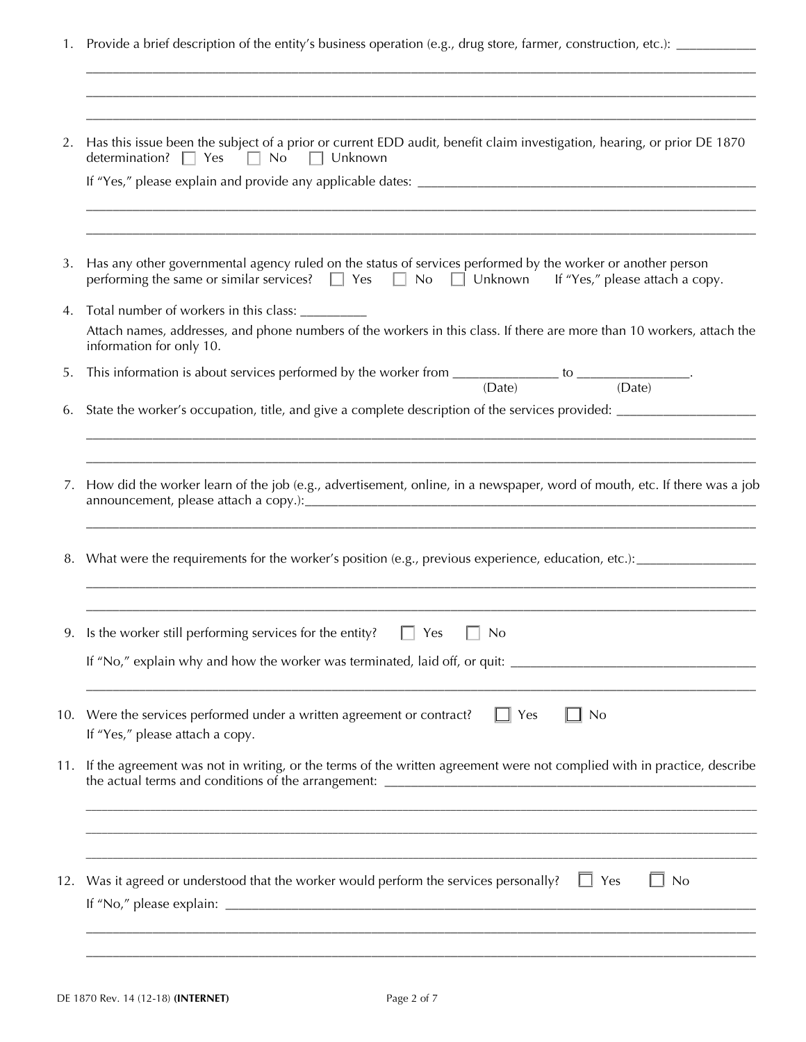1. Provide a brief description of the entity's business operation (e.g., drug store, farmer, construction, etc.): \_\_\_\_\_\_\_\_\_\_\_

\_\_\_\_\_\_\_\_\_\_\_\_\_\_\_\_\_\_\_\_\_\_\_\_\_\_\_\_\_\_\_\_\_\_\_\_\_\_\_\_\_\_\_\_\_\_\_\_\_\_\_\_\_\_\_\_\_\_\_\_\_\_\_\_\_\_\_\_\_\_\_\_\_\_\_\_\_\_\_\_\_\_\_\_\_\_\_\_\_\_\_\_\_\_\_\_\_\_\_\_\_

| 2.  | Has this issue been the subject of a prior or current EDD audit, benefit claim investigation, hearing, or prior DE 1870<br>determination? Ves No D Unknown                                                                  |
|-----|-----------------------------------------------------------------------------------------------------------------------------------------------------------------------------------------------------------------------------|
|     |                                                                                                                                                                                                                             |
| 3.  | Has any other governmental agency ruled on the status of services performed by the worker or another person<br>performing the same or similar services? $\Box$ Yes $\Box$ No $\Box$ Unknown If "Yes," please attach a copy. |
| 4.  | Total number of workers in this class: ___________<br>Attach names, addresses, and phone numbers of the workers in this class. If there are more than 10 workers, attach the<br>information for only 10.                    |
| 5.  | This information is about services performed by the worker from $\frac{\ }{\mathrm{(Date)}}$ to $\frac{\ }{\mathrm{(Date)}}$ .                                                                                              |
| 6.  |                                                                                                                                                                                                                             |
| 7.  | How did the worker learn of the job (e.g., advertisement, online, in a newspaper, word of mouth, etc. If there was a job                                                                                                    |
|     |                                                                                                                                                                                                                             |
|     | 9. Is the worker still performing services for the entity? $\Box$ Yes<br>$\Box$ No                                                                                                                                          |
|     | If "No," explain why and how the worker was terminated, laid off, or quit: ___________________________________                                                                                                              |
| 10. | Were the services performed under a written agreement or contract?<br>∏ No<br>Yes<br>If "Yes," please attach a copy.                                                                                                        |
| 11. | If the agreement was not in writing, or the terms of the written agreement were not complied with in practice, describe                                                                                                     |
|     |                                                                                                                                                                                                                             |
| 12. | Was it agreed or understood that the worker would perform the services personally?<br>$\Box$ Yes<br>$\Box$ No                                                                                                               |
|     |                                                                                                                                                                                                                             |
|     |                                                                                                                                                                                                                             |
|     |                                                                                                                                                                                                                             |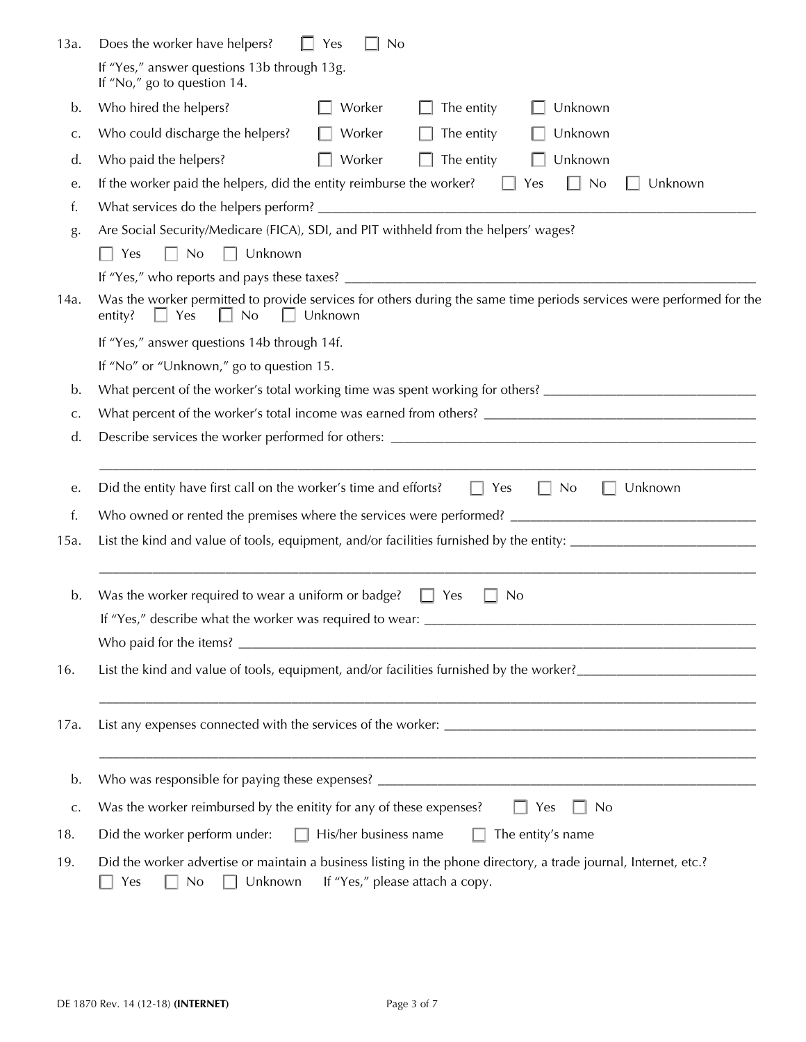| 13a.         | Does the worker have helpers?<br>Yes<br><b>No</b>                                                                                                                               |  |  |  |
|--------------|---------------------------------------------------------------------------------------------------------------------------------------------------------------------------------|--|--|--|
|              | If "Yes," answer questions 13b through 13g.<br>If "No," go to question 14.                                                                                                      |  |  |  |
| b.           | Who hired the helpers?<br>Worker<br>The entity<br>Unknown                                                                                                                       |  |  |  |
| C.           | Who could discharge the helpers?<br>Unknown<br>Worker<br>The entity                                                                                                             |  |  |  |
| d.           | Unknown<br>Who paid the helpers?<br>Worker<br>The entity                                                                                                                        |  |  |  |
| e.           | If the worker paid the helpers, did the entity reimburse the worker?<br>No<br>Unknown<br>Yes<br>. .                                                                             |  |  |  |
| f.           |                                                                                                                                                                                 |  |  |  |
| g.           | Are Social Security/Medicare (FICA), SDI, and PIT withheld from the helpers' wages?                                                                                             |  |  |  |
|              | No<br>Unknown<br>Yes<br>$\Box$<br>$\Box$                                                                                                                                        |  |  |  |
|              |                                                                                                                                                                                 |  |  |  |
| 14a.         | Was the worker permitted to provide services for others during the same time periods services were performed for the<br>Yes<br>No<br>Unknown<br>entity?                         |  |  |  |
|              | If "Yes," answer questions 14b through 14f.                                                                                                                                     |  |  |  |
|              | If "No" or "Unknown," go to question 15.                                                                                                                                        |  |  |  |
| b.           | What percent of the worker's total working time was spent working for others? ________________________________                                                                  |  |  |  |
| c.           |                                                                                                                                                                                 |  |  |  |
| d.           |                                                                                                                                                                                 |  |  |  |
| е.           | Did the entity have first call on the worker's time and efforts?<br>Unknown<br>Yes<br>No                                                                                        |  |  |  |
| f.           |                                                                                                                                                                                 |  |  |  |
| 15a.         |                                                                                                                                                                                 |  |  |  |
| b.           | Was the worker required to wear a uniform or badge?<br>No<br>Yes                                                                                                                |  |  |  |
|              | If "Yes," describe what the worker was required to wear: _______________________                                                                                                |  |  |  |
|              |                                                                                                                                                                                 |  |  |  |
| 16.          |                                                                                                                                                                                 |  |  |  |
| 17a.         |                                                                                                                                                                                 |  |  |  |
| b.           |                                                                                                                                                                                 |  |  |  |
| $\mathsf C.$ | Was the worker reimbursed by the enitity for any of these expenses?<br>$\Box$ Yes<br><b>No</b>                                                                                  |  |  |  |
| 18.          | Did the worker perform under:<br>His/her business name<br>The entity's name<br>П.<br>П                                                                                          |  |  |  |
| 19.          | Did the worker advertise or maintain a business listing in the phone directory, a trade journal, Internet, etc.?<br>If "Yes," please attach a copy.<br>No $\Box$ Unknown<br>Yes |  |  |  |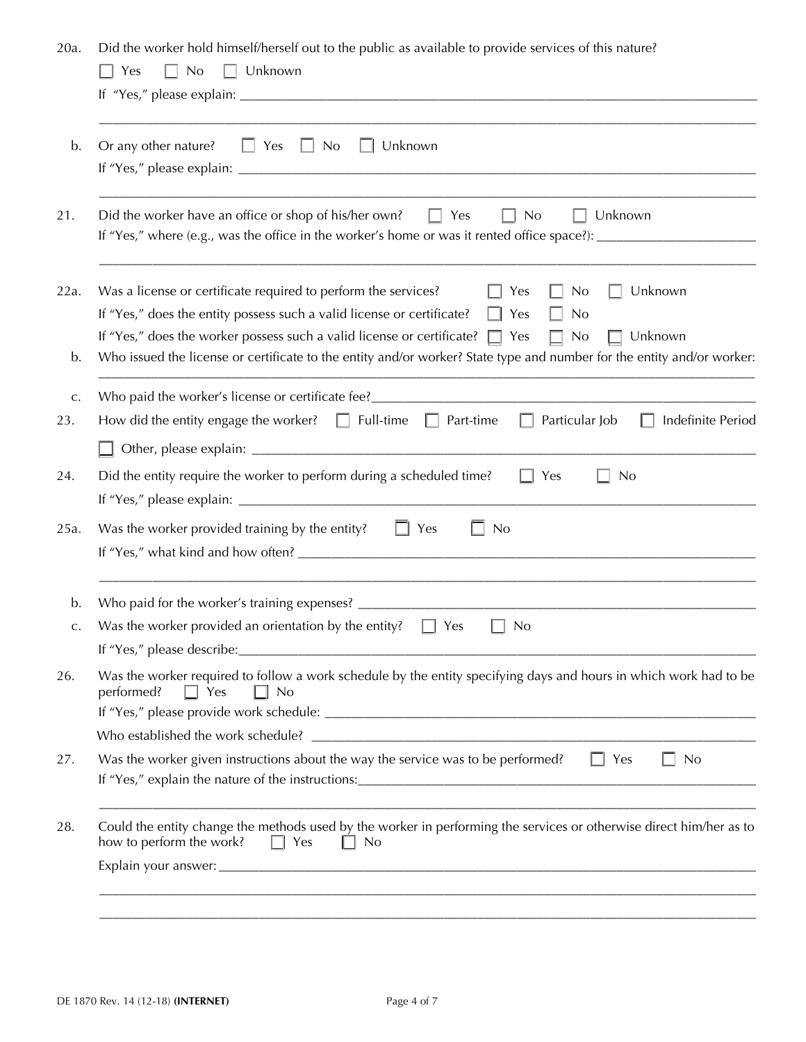20a. Did the worker hold himself/herself out to the public as available to provide services of this nature?

| Or any other nature?<br>Unknown<br>$\Box$ Yes<br>$\Box$ No                                                                                                                                                                                                                                                                                                                                                              |
|-------------------------------------------------------------------------------------------------------------------------------------------------------------------------------------------------------------------------------------------------------------------------------------------------------------------------------------------------------------------------------------------------------------------------|
|                                                                                                                                                                                                                                                                                                                                                                                                                         |
| Did the worker have an office or shop of his/her own?<br>$\Box$ Yes<br>Unknown<br>No<br>$\mathbf{L}$                                                                                                                                                                                                                                                                                                                    |
| Was a license or certificate required to perform the services?<br>Yes<br>Unknown<br>No<br>If "Yes," does the entity possess such a valid license or certificate?<br>$\Box$<br>Yes<br>No<br>If "Yes," does the worker possess such a valid license or certificate? $\Box$ Yes<br>Unknown<br>No<br>Who issued the license or certificate to the entity and/or worker? State type and number for the entity and/or worker: |
| Who paid the worker's license or certificate fee?                                                                                                                                                                                                                                                                                                                                                                       |
| How did the entity engage the worker? $\Box$ Full-time<br>Particular Job<br>Indefinite Period<br>$\Box$ Part-time                                                                                                                                                                                                                                                                                                       |
|                                                                                                                                                                                                                                                                                                                                                                                                                         |
| Did the entity require the worker to perform during a scheduled time?<br>Yes<br>No                                                                                                                                                                                                                                                                                                                                      |
| $\Box$ Yes<br>Was the worker provided training by the entity?<br><b>No</b>                                                                                                                                                                                                                                                                                                                                              |
| Who paid for the worker's training expenses? ____                                                                                                                                                                                                                                                                                                                                                                       |
| Was the worker provided an orientation by the entity?<br>Yes<br>No<br>If "Yes," please describe:                                                                                                                                                                                                                                                                                                                        |
| Was the worker required to follow a work schedule by the entity specifying days and hours in which work had to be<br>performed?<br>$\Box$ Yes<br>No                                                                                                                                                                                                                                                                     |
|                                                                                                                                                                                                                                                                                                                                                                                                                         |
| Was the worker given instructions about the way the service was to be performed?<br>No<br>$\vert \vert$ Yes                                                                                                                                                                                                                                                                                                             |
| Could the entity change the methods used by the worker in performing the services or otherwise direct him/her as to<br>how to perform the work?<br>No<br>$\Box$<br>Yes                                                                                                                                                                                                                                                  |
|                                                                                                                                                                                                                                                                                                                                                                                                                         |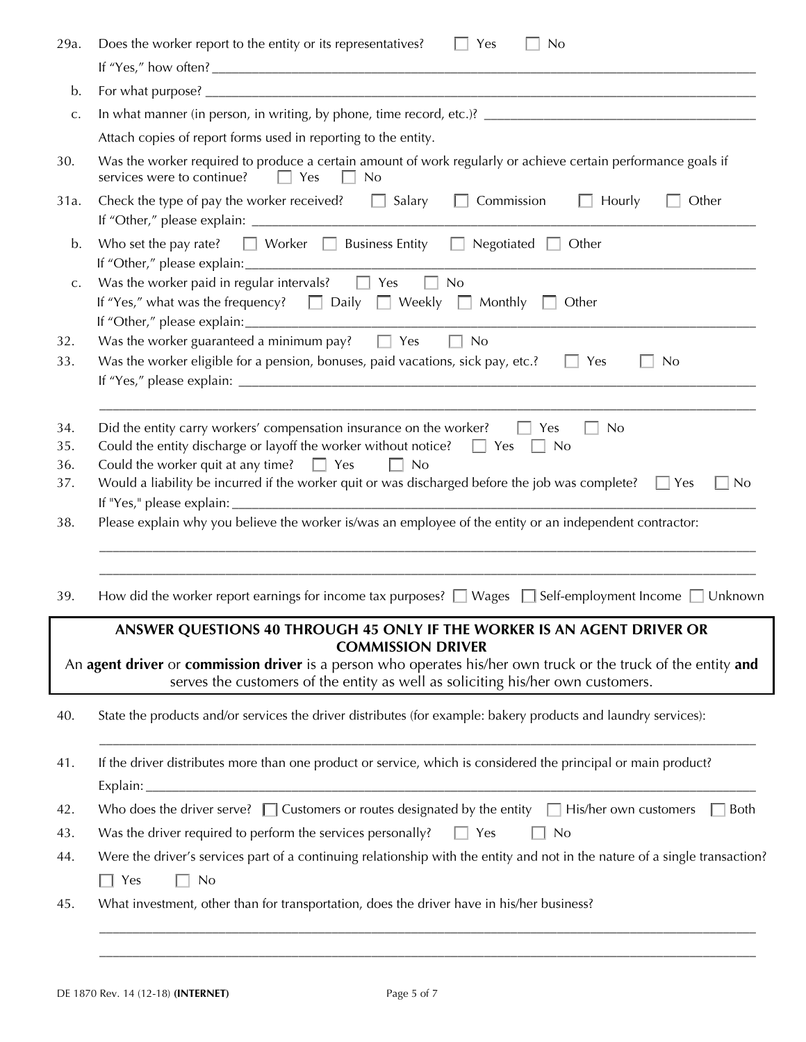| 29a.                     | Does the worker report to the entity or its representatives?<br>Yes<br><b>No</b><br>$\Box$                                                                                                                                                                                                                                                                                    |
|--------------------------|-------------------------------------------------------------------------------------------------------------------------------------------------------------------------------------------------------------------------------------------------------------------------------------------------------------------------------------------------------------------------------|
|                          |                                                                                                                                                                                                                                                                                                                                                                               |
| b.                       |                                                                                                                                                                                                                                                                                                                                                                               |
| c.                       |                                                                                                                                                                                                                                                                                                                                                                               |
|                          | Attach copies of report forms used in reporting to the entity.                                                                                                                                                                                                                                                                                                                |
| 30.                      | Was the worker required to produce a certain amount of work regularly or achieve certain performance goals if<br>services were to continue?<br>Yes<br>No                                                                                                                                                                                                                      |
| 31a.                     | Check the type of pay the worker received? $\Box$ Salary<br>$\Box$ Commission<br>Hourly<br>Other                                                                                                                                                                                                                                                                              |
| b.                       | Who set the pay rate? $\Box$ Worker $\Box$ Business Entity $\Box$ Negotiated $\Box$ Other                                                                                                                                                                                                                                                                                     |
| C.                       | Was the worker paid in regular intervals? $\Box$ Yes<br>No<br>If "Yes," what was the frequency? $\Box$ Daily $\Box$ Weekly $\Box$ Monthly $\Box$ Other                                                                                                                                                                                                                        |
| 32.<br>33.               | Was the worker guaranteed a minimum pay? $\square$ Yes<br>$\Box$ No<br>Was the worker eligible for a pension, bonuses, paid vacations, sick pay, etc.?<br>$\Box$ Yes<br>No                                                                                                                                                                                                    |
| 34.<br>35.<br>36.<br>37. | Did the entity carry workers' compensation insurance on the worker? $\Box$ Yes<br>No<br>Could the entity discharge or layoff the worker without notice? $\Box$ Yes $\Box$ No<br>Could the worker quit at any time? $\Box$ Yes<br>$\Box$ No<br>Would a liability be incurred if the worker quit or was discharged before the job was complete? $\square$ Yes<br>N <sub>0</sub> |
| 38.                      | Please explain why you believe the worker is/was an employee of the entity or an independent contractor:                                                                                                                                                                                                                                                                      |
| 39.                      | How did the worker report earnings for income tax purposes? $\Box$ Wages $\Box$ Self-employment Income $\Box$ Unknown                                                                                                                                                                                                                                                         |
|                          | ANSWER QUESTIONS 40 THROUGH 45 ONLY IF THE WORKER IS AN AGENT DRIVER OR<br><b>COMMISSION DRIVER</b><br>An agent driver or commission driver is a person who operates his/her own truck or the truck of the entity and<br>serves the customers of the entity as well as soliciting his/her own customers.                                                                      |
| 40.                      | State the products and/or services the driver distributes (for example: bakery products and laundry services):                                                                                                                                                                                                                                                                |
| 41.                      | If the driver distributes more than one product or service, which is considered the principal or main product?                                                                                                                                                                                                                                                                |
| 42.                      | Who does the driver serve? $\Box$ Customers or routes designated by the entity $\Box$ His/her own customers<br><b>Both</b>                                                                                                                                                                                                                                                    |
| 43.                      | Was the driver required to perform the services personally?<br>$\Box$ Yes<br>$\Box$ No                                                                                                                                                                                                                                                                                        |
| 44.                      | Were the driver's services part of a continuing relationship with the entity and not in the nature of a single transaction?<br>$\Box$ Yes<br>No                                                                                                                                                                                                                               |
| 45.                      | What investment, other than for transportation, does the driver have in his/her business?                                                                                                                                                                                                                                                                                     |

 $\mathcal{L}_\mathcal{L} = \{ \mathcal{L}_\mathcal{L} = \{ \mathcal{L}_\mathcal{L} = \{ \mathcal{L}_\mathcal{L} = \{ \mathcal{L}_\mathcal{L} = \{ \mathcal{L}_\mathcal{L} = \{ \mathcal{L}_\mathcal{L} = \{ \mathcal{L}_\mathcal{L} = \{ \mathcal{L}_\mathcal{L} = \{ \mathcal{L}_\mathcal{L} = \{ \mathcal{L}_\mathcal{L} = \{ \mathcal{L}_\mathcal{L} = \{ \mathcal{L}_\mathcal{L} = \{ \mathcal{L}_\mathcal{L} = \{ \mathcal{L}_\mathcal{$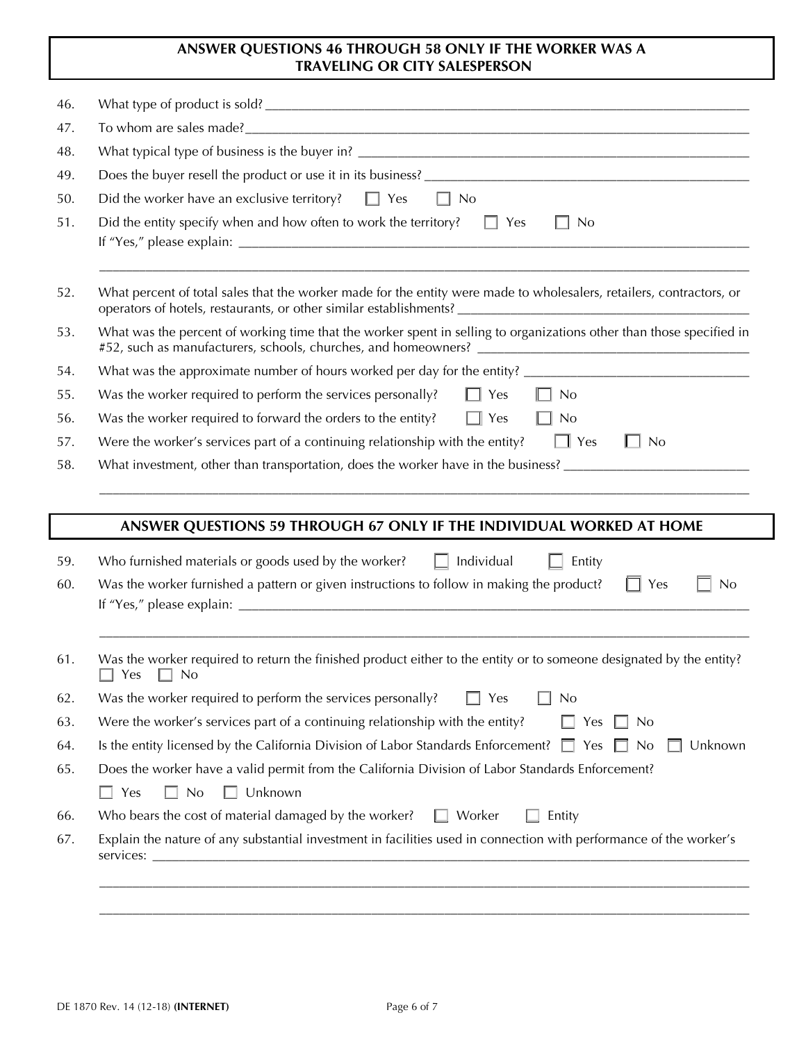## **ANSWER QUESTIONS 46 THROUGH 58 ONLY IF THE WORKER WAS A TRAVELING OR CITY SALESPERSON**

| 46.               |                                                                                                                                                                                                                                                                                                                                                        |  |  |
|-------------------|--------------------------------------------------------------------------------------------------------------------------------------------------------------------------------------------------------------------------------------------------------------------------------------------------------------------------------------------------------|--|--|
| 47.               |                                                                                                                                                                                                                                                                                                                                                        |  |  |
| 48.               |                                                                                                                                                                                                                                                                                                                                                        |  |  |
| 49.               |                                                                                                                                                                                                                                                                                                                                                        |  |  |
| 50.               | Did the worker have an exclusive territory?<br>$\Box$ Yes<br>$\Box$ No                                                                                                                                                                                                                                                                                 |  |  |
| 51.               | Did the entity specify when and how often to work the territory? $\square$ Yes<br>N <sub>0</sub>                                                                                                                                                                                                                                                       |  |  |
| 52.               | What percent of total sales that the worker made for the entity were made to wholesalers, retailers, contractors, or                                                                                                                                                                                                                                   |  |  |
| 53.               | What was the percent of working time that the worker spent in selling to organizations other than those specified in<br>#52, such as manufacturers, schools, churches, and homeowners? [100] [100] [100] [100] [100] [100] [100] [100] [100] [100] [100] [100] [100] [100] [100] [100] [100] [100] [100] [100] [100] [100] [100] [100] [100] [100] [10 |  |  |
| 54.               |                                                                                                                                                                                                                                                                                                                                                        |  |  |
| 55.               | Was the worker required to perform the services personally?<br>$\Box$ Yes<br>$\Box$ No                                                                                                                                                                                                                                                                 |  |  |
| 56.               | Was the worker required to forward the orders to the entity?<br>$\Box$ Yes<br>$\prod$ No                                                                                                                                                                                                                                                               |  |  |
| 57.               | Were the worker's services part of a continuing relationship with the entity? $\Box$ Yes<br>$\Box$ No                                                                                                                                                                                                                                                  |  |  |
|                   |                                                                                                                                                                                                                                                                                                                                                        |  |  |
|                   |                                                                                                                                                                                                                                                                                                                                                        |  |  |
|                   | What investment, other than transportation, does the worker have in the business?                                                                                                                                                                                                                                                                      |  |  |
|                   |                                                                                                                                                                                                                                                                                                                                                        |  |  |
| 58.               | ANSWER QUESTIONS 59 THROUGH 67 ONLY IF THE INDIVIDUAL WORKED AT HOME                                                                                                                                                                                                                                                                                   |  |  |
|                   | Who furnished materials or goods used by the worker? $\Box$ Individual<br>Entity                                                                                                                                                                                                                                                                       |  |  |
|                   | $\Box$ Yes<br>Was the worker furnished a pattern or given instructions to follow in making the product?<br>No                                                                                                                                                                                                                                          |  |  |
| 59.<br>60.        |                                                                                                                                                                                                                                                                                                                                                        |  |  |
| 61.               | Was the worker required to return the finished product either to the entity or to someone designated by the entity?<br>$\Box$ Yes $\Box$ No                                                                                                                                                                                                            |  |  |
|                   | Was the worker required to perform the services personally?<br>Yes<br>N <sub>o</sub>                                                                                                                                                                                                                                                                   |  |  |
|                   | Were the worker's services part of a continuing relationship with the entity?<br>Yes<br>N <sub>0</sub>                                                                                                                                                                                                                                                 |  |  |
| 62.<br>63.<br>64. | Is the entity licensed by the California Division of Labor Standards Enforcement? $\square$<br>Yes<br>N <sub>0</sub>                                                                                                                                                                                                                                   |  |  |
|                   | Does the worker have a valid permit from the California Division of Labor Standards Enforcement?                                                                                                                                                                                                                                                       |  |  |
|                   | Unknown<br>$\Box$ No<br>$\Box$ Yes                                                                                                                                                                                                                                                                                                                     |  |  |
| 65.<br>66.        | Unknown<br>Who bears the cost of material damaged by the worker?<br>$\Box$ Worker<br>Entity                                                                                                                                                                                                                                                            |  |  |